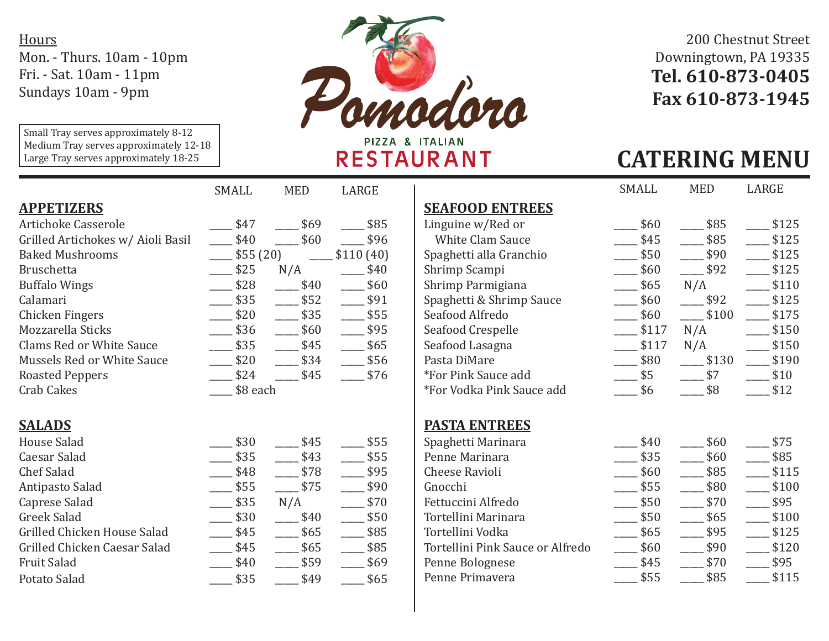**Hours** Mon. - Thurs. 10am - 10pm Fri. - Sat. 10am - 11pm Sundays 10am - 9pm

Small Tray serves approximately 8-12 Medium Tray serves approximately 12-18 Large Tray serves approximately 18-25



## 200 Chestnut Street Downingtown, PA 19335 **Tel. 610-873-0405 Fax 610-873-1945**

## **RESTAURANT**

## **CATERING MENU**

|                                   | SMALL           | <b>MED</b> | LARGE     |                                  | SMALL | <b>MED</b> | LARGE                        |
|-----------------------------------|-----------------|------------|-----------|----------------------------------|-------|------------|------------------------------|
| <b>APPETIZERS</b>                 |                 |            |           | <b>SEAFOOD ENTREES</b>           |       |            |                              |
| Artichoke Casserole               | \$47            | \$69       | \$85      | Linguine w/Red or                | \$60  | \$85       | \$1                          |
| Grilled Artichokes w/ Aioli Basil | \$40            | \$60       | \$96      | White Clam Sauce                 | \$45  | \$85       | \$1                          |
| <b>Baked Mushrooms</b>            | $-$ \$55 $(20)$ |            | \$110(40) | Spaghetti alla Granchio          | \$50  | \$90       | $\sqrt{$1}$                  |
| <b>Bruschetta</b>                 | \$25            | N/A        | \$40      | Shrimp Scampi                    | \$60  | \$92       | \$1                          |
| <b>Buffalo Wings</b>              | \$28            | \$40       | \$60      | Shrimp Parmigiana                | \$65  | N/A        | \$1                          |
| Calamari                          | $-$ \$35        | \$52       | \$91      | Spaghetti & Shrimp Sauce         | \$60  | \$92       | \$1                          |
| Chicken Fingers                   | \$20            | \$35       | \$55      | Seafood Alfredo                  | \$60  | \$100      | \$1                          |
| Mozzarella Sticks                 | $-$ \$36        | \$60       | \$95      | Seafood Crespelle                | \$117 | N/A        | \$1                          |
| Clams Red or White Sauce          | \$35            | \$45       | \$65      | Seafood Lasagna                  | \$117 | N/A        | \$1                          |
| Mussels Red or White Sauce        | \$20            | \$34       | \$56      | Pasta DiMare                     | \$80  | \$130      | \$1                          |
| <b>Roasted Peppers</b>            | \$24            | \$45       | \$76      | *For Pink Sauce add              | \$5   | \$7        | $-$ \$1                      |
| Crab Cakes                        | \$8 each        |            |           | *For Vodka Pink Sauce add        | \$6   | \$8        | \$1                          |
|                                   |                 |            |           |                                  |       |            |                              |
| <b>SALADS</b>                     |                 |            |           | <b>PASTA ENTREES</b>             |       |            |                              |
| <b>House Salad</b>                | \$30            | \$45       | \$55      | Spaghetti Marinara               | \$40  | \$60       | \$7                          |
| Caesar Salad                      | \$35            | \$43       | \$55      | Penne Marinara                   | \$35  | \$60       | \$8                          |
| <b>Chef Salad</b>                 | \$48            | \$78       | \$95      | Cheese Ravioli                   | \$60  | \$85       | \$1                          |
| Antipasto Salad                   | \$55            | \$75       | \$90      | Gnocchi                          | \$55  | \$80       | \$1                          |
| Caprese Salad                     | \$35            | N/A        | \$70      | Fettuccini Alfredo               | \$50  | \$70       | \$ <sub>5</sub>              |
| <b>Greek Salad</b>                | \$30            | \$40       | \$50      | Tortellini Marinara              | \$50  | \$65       | \$1                          |
| Grilled Chicken House Salad       | \$45            | \$65       | \$85      | Tortellini Vodka                 | \$65  | \$95       | \$1                          |
| Grilled Chicken Caesar Salad      | \$45            | \$65       | \$85      | Tortellini Pink Sauce or Alfredo | \$60  | \$90       | \$1                          |
| Fruit Salad                       | \$40            | \$59       | \$69      | Penne Bolognese                  | \$45  | \$70       | $\overline{\phantom{1}}$ \$9 |
| Potato Salad                      | \$35            | \$49       | \$65      | Penne Primavera                  | \$55  | \$85       | \$1                          |
|                                   |                 |            |           |                                  |       |            |                              |

| <b>SEAFOOD ENTREES</b>    |       |       |       |
|---------------------------|-------|-------|-------|
| Linguine w/Red or         | \$60  | \$85  | \$125 |
| <b>White Clam Sauce</b>   | \$45  | \$85  | \$125 |
| Spaghetti alla Granchio   | \$50  | \$90  | \$125 |
| Shrimp Scampi             | \$60  | \$92  | \$125 |
| Shrimp Parmigiana         | \$65  | N/A   | \$110 |
| Spaghetti & Shrimp Sauce  | \$60  | \$92  | \$125 |
| Seafood Alfredo           | \$60  | \$100 | \$175 |
| Seafood Crespelle         | \$117 | N/A   | \$150 |
| Seafood Lasagna           | \$117 | N/A   | \$150 |
| Pasta DiMare              | \$80  | \$130 | \$190 |
| *For Pink Sauce add       | \$5   | \$7   | \$10  |
| *For Vodka Pink Sauce add | \$6   | \$8   | \$12  |
| <b>PASTA ENTREES</b>      |       |       |       |
| Spaghetti Marinara        | \$40  | \$60  | \$75  |
| Penne Marinara            | \$35  | \$60  | \$85  |
| Cheese Ravioli            | \$60  | \$85  | \$115 |
| Gnocchi                   | \$55  | \$80  | \$100 |
| Fettuccini Alfredo        | \$50  | \$70  | \$95  |
| Tortellini Marinara       | \$50  | \$65  | \$100 |